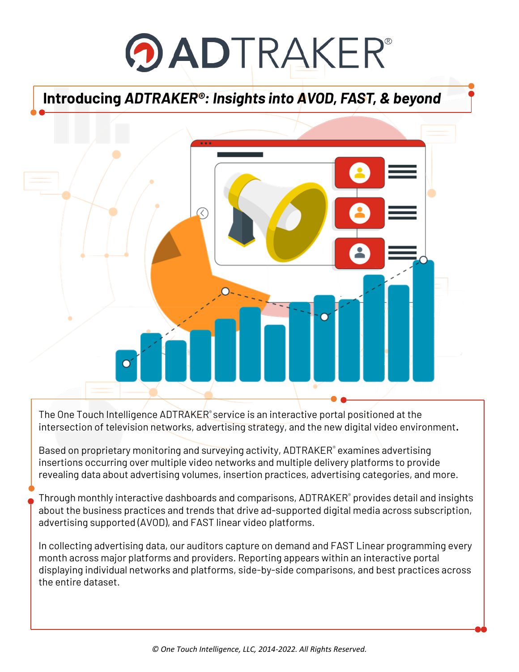# **OADTRAKER®**

## **Introducing** *ADTRAKER®: Insights into AVOD, FAST, & beyond*



The One Touch Intelligence ADTRAKER<sup>®</sup> service is an interactive portal positioned at the intersection of television networks, advertising strategy, and the new digital video environment**.**

Based on proprietary monitoring and surveying activity, ADTRAKER<sup>®</sup> examines advertising insertions occurring over multiple video networks and multiple delivery platforms to provide revealing data about advertising volumes, insertion practices, advertising categories, and more.

Through monthly interactive dashboards and comparisons, ADTRAKER® provides detail and insights about the business practices and trends that drive ad-supported digital media across subscription, advertising supported (AVOD), and FAST linear video platforms.

In collecting advertising data, our auditors capture on demand and FAST Linear programming every month across major platforms and providers. Reporting appears within an interactive portal displaying individual networks and platforms, side-by-side comparisons, and best practices across the entire dataset.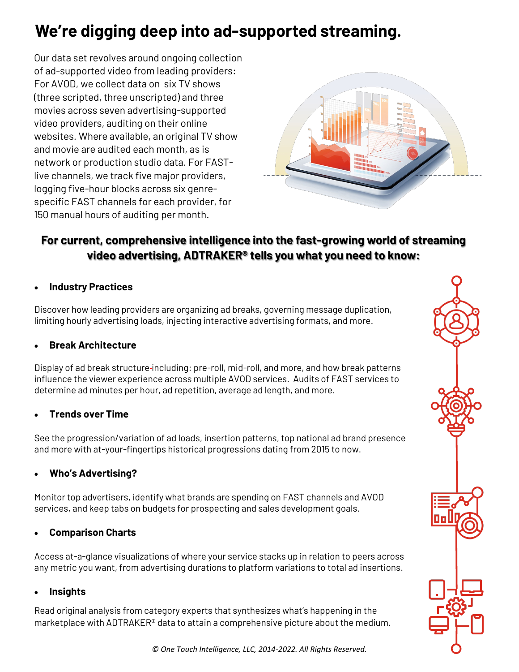# **We're digging deep into ad-supported streaming.**

Our data set revolves around ongoing collection of ad-supported video from leading providers: For AVOD, we collect data on six TV shows (three scripted, three unscripted) and three movies across seven advertising-supported video providers, auditing on their online websites. Where available, an original TV show and movie are audited each month, as is network or production studio data. For FASTlive channels, we track five major providers, logging five-hour blocks across six genrespecific FAST channels for each provider, for 150 manual hours of auditing per month.



#### **For current, comprehensive intelligence into the fast-growing world of streaming video advertising, ADTRAKER® tells you what you need to know:**

#### • **Industry Practices**

Discover how leading providers are organizing ad breaks, governing message duplication, limiting hourly advertising loads, injecting interactive advertising formats, and more.

#### • **Break Architecture**

Display of ad break structure including: pre-roll, mid-roll, and more, and how break patterns influence the viewer experience across multiple AVOD services. Audits of FAST services to determine ad minutes per hour, ad repetition, average ad length, and more.

#### • **Trends over Time**

See the progression/variation of ad loads, insertion patterns, top national ad brand presence and more with at-your-fingertips historical progressions dating from 2015 to now.

#### • **Who's Advertising?**

Monitor top advertisers, identify what brands are spending on FAST channels and AVOD services, and keep tabs on budgets for prospecting and sales development goals.

#### • **Comparison Charts**

Access at-a-glance visualizations of where your service stacks up in relation to peers across any metric you want, from advertising durations to platform variations to total ad insertions.

#### • **Insights**

Read original analysis from category experts that synthesizes what's happening in the marketplace with ADTRAKER® data to attain a comprehensive picture about the medium.